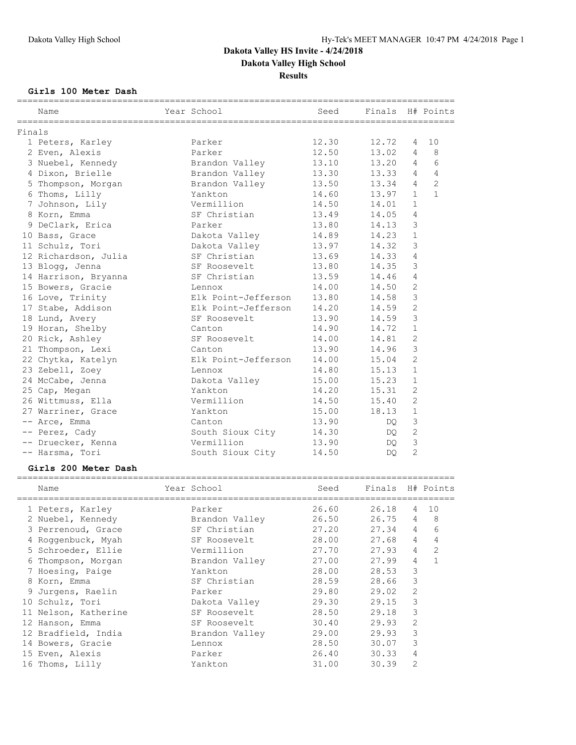### **Girls 100 Meter Dash**

|        | Name                 | Year School               | Seed  | Finals H# Points |                |                |
|--------|----------------------|---------------------------|-------|------------------|----------------|----------------|
| Finals |                      |                           |       |                  |                |                |
|        | 1 Peters, Karley     | Parker                    | 12.30 | 12.72            | 4              | 10             |
|        | 2 Even, Alexis       | Parker                    | 12.50 | 13.02            | 4              | 8              |
|        | 3 Nuebel, Kennedy    | Brandon Valley            | 13.10 | 13.20            | $\overline{4}$ | 6              |
|        | 4 Dixon, Brielle     | Brandon Valley            | 13.30 | 13.33            | $\overline{4}$ | 4              |
|        | 5 Thompson, Morgan   | Brandon Valley            | 13.50 | 13.34            | 4              | $\overline{2}$ |
|        | 6 Thoms, Lilly       | Yankton                   | 14.60 | 13.97            | $\mathbf{1}$   | $\mathbf{1}$   |
|        | 7 Johnson, Lily      | Vermillion                | 14.50 | 14.01            | $\mathbf{1}$   |                |
|        | 8 Korn, Emma         | SF Christian              | 13.49 | 14.05            | 4              |                |
|        | 9 DeClark, Erica     | Parker                    | 13.80 | 14.13            | 3              |                |
|        | 10 Bass, Grace       | Dakota Valley             | 14.89 | 14.23            | $\mathbf{1}$   |                |
|        | 11 Schulz, Tori      | Dakota Valley             | 13.97 | 14.32            | 3              |                |
|        | 12 Richardson, Julia | SF Christian              | 13.69 | 14.33            | $\overline{4}$ |                |
|        | 13 Blogg, Jenna      | SF Roosevelt              | 13.80 | 14.35            | 3              |                |
|        | 14 Harrison, Bryanna | SF Christian              | 13.59 | 14.46            | $\overline{4}$ |                |
|        | 15 Bowers, Gracie    | Lennox                    | 14.00 | 14.50            | $\overline{c}$ |                |
|        | 16 Love, Trinity     | Elk Point-Jefferson 13.80 |       | 14.58            | 3              |                |
|        | 17 Stabe, Addison    | Elk Point-Jefferson       | 14.20 | 14.59            | $\mathbf{2}$   |                |
|        | 18 Lund, Avery       | SF Roosevelt              | 13.90 | 14.59            | 3              |                |
|        | 19 Horan, Shelby     | Canton                    | 14.90 | 14.72            | $\mathbf{1}$   |                |
|        | 20 Rick, Ashley      | SF Roosevelt              | 14.00 | 14.81            | $\overline{c}$ |                |
|        | 21 Thompson, Lexi    | Canton                    | 13.90 | 14.96            | $\mathfrak{Z}$ |                |
|        | 22 Chytka, Katelyn   | Elk Point-Jefferson       | 14.00 | 15.04            | $\overline{2}$ |                |
|        | 23 Zebell, Zoey      | Lennox                    | 14.80 | 15.13            | $\mathbf{1}$   |                |
|        | 24 McCabe, Jenna     | Dakota Valley             | 15.00 | 15.23            | $\mathbf{1}$   |                |
|        | 25 Cap, Megan        | Yankton                   | 14.20 | 15.31            | $\overline{2}$ |                |
|        | 26 Wittmuss, Ella    | Vermillion                | 14.50 | 15.40            | $\overline{2}$ |                |
|        | 27 Warriner, Grace   | Yankton                   | 15.00 | 18.13            | $\mathbf{1}$   |                |
|        | -- Arce, Emma        | Canton                    | 13.90 | DQ.              | $\mathsf 3$    |                |
|        | -- Perez, Cady       | South Sioux City          | 14.30 | DQ               | $\mathbf{2}$   |                |
|        | -- Druecker, Kenna   | Vermillion                | 13.90 | DQ.              | 3              |                |
|        | -- Harsma, Tori      | South Sioux City          | 14.50 | DQ.              | $\overline{2}$ |                |

#### **Girls 200 Meter Dash**

|    | Name                 | Year School    | Seed  | Finals |                | H# Points      |
|----|----------------------|----------------|-------|--------|----------------|----------------|
|    | 1 Peters, Karley     | Parker         | 26.60 | 26.18  | 4              | 10             |
|    | 2 Nuebel, Kennedy    | Brandon Valley | 26.50 | 26.75  | 4              | 8              |
|    | 3 Perrenoud, Grace   | SF Christian   | 27.20 | 27.34  | 4              | 6              |
|    | 4 Roggenbuck, Myah   | SF Roosevelt   | 28.00 | 27.68  | 4              | 4              |
|    | 5 Schroeder, Ellie   | Vermillion     | 27.70 | 27.93  | 4              | $\overline{2}$ |
| 6  | Thompson, Morgan     | Brandon Valley | 27.00 | 27.99  | 4              |                |
|    | 7 Hoesing, Paige     | Yankton        | 28.00 | 28.53  | 3              |                |
|    | 8 Korn, Emma         | SF Christian   | 28.59 | 28.66  | 3              |                |
| 9. | Jurgens, Raelin      | Parker         | 29.80 | 29.02  | 2              |                |
|    | 10 Schulz, Tori      | Dakota Valley  | 29.30 | 29.15  | 3              |                |
|    | 11 Nelson, Katherine | SF Roosevelt   | 28.50 | 29.18  | 3              |                |
|    | 12 Hanson, Emma      | SF Roosevelt   | 30.40 | 29.93  | 2              |                |
|    | 12 Bradfield, India  | Brandon Valley | 29.00 | 29.93  | 3              |                |
| 14 | Bowers, Gracie       | Lennox         | 28.50 | 30.07  | 3              |                |
|    | 15 Even, Alexis      | Parker         | 26.40 | 30.33  | 4              |                |
|    | 16 Thoms, Lilly      | Yankton        | 31.00 | 30.39  | $\overline{2}$ |                |
|    |                      |                |       |        |                |                |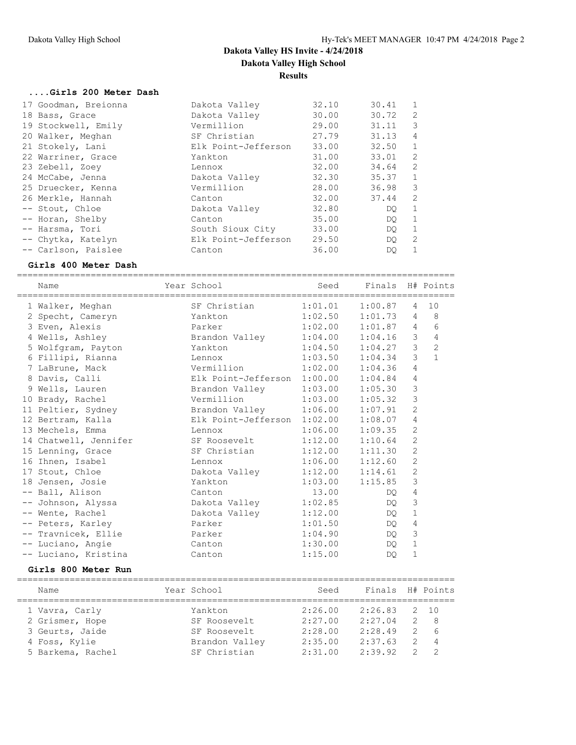#### **....Girls 200 Meter Dash**

| 17 Goodman, Breionna | Dakota Valley       | 32.10 | 30.41 |              |
|----------------------|---------------------|-------|-------|--------------|
| 18 Bass, Grace       | Dakota Valley       | 30.00 | 30.72 | 2            |
| 19 Stockwell, Emily  | Vermillion          | 29.00 | 31.11 | 3            |
| 20 Walker, Meghan    | SF Christian        | 27.79 | 31.13 | 4            |
| 21 Stokely, Lani     | Elk Point-Jefferson | 33.00 | 32.50 | $\mathbf{1}$ |
| 22 Warriner, Grace   | Yankton             | 31.00 | 33.01 | 2            |
| 23 Zebell, Zoey      | Lennox              | 32.00 | 34.64 | 2            |
| 24 McCabe, Jenna     | Dakota Valley       | 32.30 | 35.37 | $\mathbf{1}$ |
| 25 Druecker, Kenna   | Vermillion          | 28.00 | 36.98 | 3            |
| 26 Merkle, Hannah    | Canton              | 32.00 | 37.44 | 2            |
| -- Stout, Chloe      | Dakota Valley       | 32.80 | DO    | $\mathbf{1}$ |
| -- Horan, Shelby     | Canton              | 35.00 | DO.   | $\mathbf{1}$ |
| -- Harsma, Tori      | South Sioux City    | 33.00 | DO    | $\mathbf{1}$ |
| -- Chytka, Katelyn   | Elk Point-Jefferson | 29.50 | DO.   | 2            |
| -- Carlson, Paislee  | Canton              | 36.00 | DO    | 1            |

#### **Girls 400 Meter Dash**

=================================================================================== Name  $Year School$  Seed Finals H# Points =================================================================================== 1 Walker, Meghan SF Christian 1:01.01 1:00.87 4 10 2 Specht, Cameryn Yankton 1:02.50 1:01.73 4 8 3 Even, Alexis Parker 1:02.00 1:01.87 4 6 4 Wells, Ashley Brandon Valley 1:04.00 1:04.16 3 4 5 Wolfgram, Payton Yankton 1:04.50 1:04.27 3 2 6 Fillipi, Rianna Lennox 1:03.50 1:04.34 3 1 7 LaBrune, Mack Vermillion 1:02.00 1:04.36 4 8 Davis, Calli Elk Point-Jefferson 1:00.00 1:04.84 4 9 Wells, Lauren Brandon Valley 1:03.00 1:05.30 3 10 Brady, Rachel Vermillion 1:03.00 1:05.32 3 11 Peltier, Sydney Brandon Valley 1:06.00 1:07.91 2 12 Bertram, Kalla Elk Point-Jefferson 1:02.00 1:08.07 4 13 Mechels, Emma Lennox 1:06.00 1:09.35 2 14 Chatwell, Jennifer SF Roosevelt 1:12.00 1:10.64 2 15 Lenning, Grace SF Christian 1:12.00 1:11.30 2 16 Ihnen, Isabel Lennox 1:06.00 1:12.60 2 17 Stout, Chloe Dakota Valley 1:12.00 1:14.61 2 18 Jensen, Josie Yankton 1:03.00 1:15.85 3 -- Ball, Alison Canton Canton 13.00 DQ 4 -- Johnson, Alyssa Dakota Valley 1:02.85 DQ 3 -- Wente, Rachel Dakota Valley 1:12.00 DQ 1 -- Peters, Karley Parker 1:01.50 DQ 4 -- Travnicek, Ellie Parker 1:04.90 DQ 3 -- Luciano, Angie Canton 1:30.00 DQ 1 -- Luciano, Kristina Canton 1:15.00 DQ 1

#### **Girls 800 Meter Run**

| Name              | Year School    | Seed    | Finals H# Points |               |                |
|-------------------|----------------|---------|------------------|---------------|----------------|
| 1 Vavra, Carly    | Yankton        | 2:26.00 | 2:26.83          |               | 2 10           |
| 2 Grismer, Hope   | SF Roosevelt   | 2:27.00 | 2:27.04          | $\mathcal{P}$ | - 8            |
| 3 Geurts, Jaide   | SF Roosevelt   | 2:28.00 | 2:28.49          | 2             | 6              |
| 4 Foss, Kylie     | Brandon Valley | 2:35.00 | 2:37.63          |               | $\overline{4}$ |
| 5 Barkema, Rachel | SF Christian   | 2:31.00 | 2:39.92          |               |                |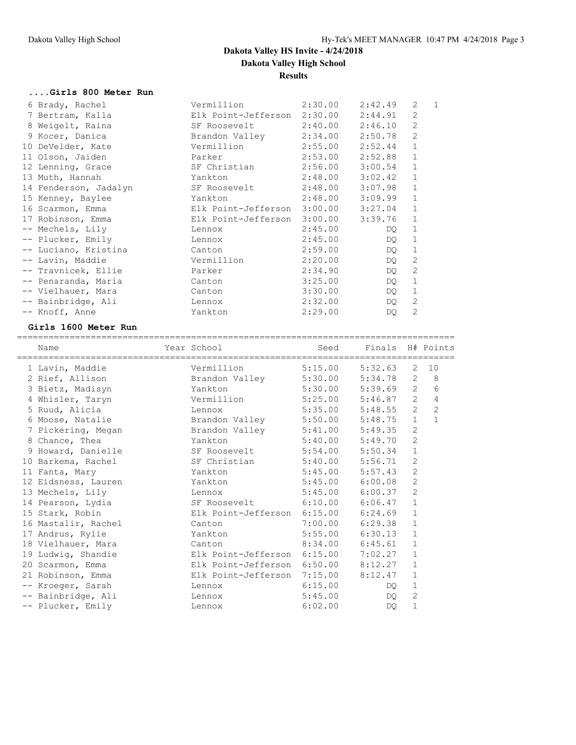#### **....Girls 800 Meter Run**

| 6 Brady, Rachel       | Vermillion                          | 2:30.00             | 2:42.49 | 2              | $\mathbf{1}$ |
|-----------------------|-------------------------------------|---------------------|---------|----------------|--------------|
| 7 Bertram, Kalla      | Elk Point-Jefferson                 | 2:30.00             | 2:44.91 | $\mathfrak{D}$ |              |
| 8 Weigelt, Raina      | SF Roosevelt                        | $2:40.00$ $2:46.10$ |         | $\overline{2}$ |              |
| 9 Kocer, Danica       | Brandon Valley                      | 2:34.00             | 2:50.78 | $\overline{2}$ |              |
| 10 DeVelder, Kate     | Vermillion                          | 2:55.00             | 2:52.44 | $\mathbf{1}$   |              |
| 11 Olson, Jaiden      | Parker                              | 2:53.00             | 2:52.88 | 1              |              |
| 12 Lenning, Grace     | SF Christian                        | 2:56.00             | 3:00.54 | $\mathbf{1}$   |              |
| 13 Muth, Hannah       | Yankton                             | 2:48.00             | 3:02.42 | 1              |              |
| 14 Fenderson, Jadalyn | SF Roosevelt                        | 2:48.00             | 3:07.98 | $\mathbf{1}$   |              |
| 15 Kenney, Baylee     | Yankton                             | 2:48.00             | 3:09.99 | $\mathbf{1}$   |              |
| 16 Scarmon, Emma      | Elk Point-Jefferson 3:00.00 3:27.04 |                     |         | 1              |              |
| 17 Robinson, Emma     | Elk Point-Jefferson                 | 3:00.00             | 3:39.76 | 1              |              |
| -- Mechels, Lily      | Lennox                              | 2:45.00             | DQ.     | $\mathbf{1}$   |              |
| -- Plucker, Emily     | Lennox                              | 2:45.00             | DQ      | $\mathbf{1}$   |              |
| -- Luciano, Kristina  | Canton                              | 2:59.00             | DQ.     | 1              |              |
| -- Lavin, Maddie      | Vermillion                          | 2:20.00             | DQ      | 2              |              |
| -- Travnicek, Ellie   | Parker                              | 2:34.90             | DQ      | 2              |              |
| -- Penaranda, Maria   | Canton                              | 3:25.00             | DQ.     | $\mathbf{1}$   |              |
| -- Vielhauer, Mara    | Canton                              | 3:30.00             | DQ      | 1              |              |
| -- Bainbridge, Ali    | Lennox                              | 2:32.00             | DQ      | $\overline{2}$ |              |
| -- Knoff, Anne        | Yankton                             | 2:29.00             | DQ.     | 2              |              |
|                       |                                     |                     |         |                |              |

### **Girls 1600 Meter Run**

| Name                | Year School                         | Seed                | Finals H# Points |                |                |
|---------------------|-------------------------------------|---------------------|------------------|----------------|----------------|
| 1 Lavin, Maddie     | Vermillion                          | 5:15.00             | 5:32.63          | $\overline{2}$ | 10             |
| 2 Rief, Allison     | Brandon Valley                      | 5:30.00 5:34.78     |                  | $\overline{2}$ | 8              |
| 3 Bietz, Madisyn    | Yankton                             | $5:30.00$ $5:39.69$ |                  | $\overline{2}$ | 6              |
| 4 Whisler, Taryn    | Vermillion 5:25.00 5:46.87          |                     |                  | $\overline{2}$ | 4              |
| 5 Ruud, Alicia      | Lennox                              | 5:35.00             | 5:48.55          | 2              | $\overline{c}$ |
| 6 Moose, Natalie    | Brandon Valley 5:50.00 5:48.75      |                     |                  | $\mathbf{1}$   | $\mathbf{1}$   |
| 7 Pickering, Megan  | Brandon Valley                      | $5:41.00$ $5:49.35$ |                  | 2              |                |
| 8 Chance, Thea      | Yankton                             | 5:40.00             | 5:49.70          | $\overline{2}$ |                |
| 9 Howard, Danielle  | SF Roosevelt 5:54.00 5:50.34        |                     |                  | $\mathbf{1}$   |                |
| 10 Barkema, Rachel  | SF Christian                        | 5:40.00             | 5:56.71          | $\overline{c}$ |                |
| 11 Fanta, Mary      | Yankton                             | 5:45.00             | 5:57.43          | $\overline{2}$ |                |
| 12 Eidsness, Lauren | Yankton                             | $5:45.00$ $6:00.08$ |                  | $\mathbf{2}$   |                |
| 13 Mechels, Lily    | Lennox                              | 5:45.00             | 6:00.37          | $\overline{2}$ |                |
| 14 Pearson, Lydia   | SF Roosevelt 6:10.00 6:06.47        |                     |                  | $\mathbf{1}$   |                |
| 15 Stark, Robin     | Elk Point-Jefferson 6:15.00 6:24.69 |                     |                  | $\mathbf 1$    |                |
| 16 Mastalir, Rachel | Canton                              | 7:00.00             | 6:29.38          | $\mathbf{1}$   |                |
| 17 Andrus, Rylie    | Yankton                             | 5:55.00             | 6:30.13          | $\mathbf{1}$   |                |
| 18 Vielhauer, Mara  | Canton                              | $8:34.00$ $6:45.61$ |                  | 1              |                |
| 19 Ludwig, Shandie  | Elk Point-Jefferson 6:15.00         |                     | 7:02.27          | $\mathbf{1}$   |                |
| 20 Scarmon, Emma    | Elk Point-Jefferson 6:50.00         |                     | 8:12.27          | $\mathbf 1$    |                |
| 21 Robinson, Emma   | Elk Point-Jefferson 7:15.00         |                     | 8:12.47          | 1              |                |
| -- Kroeger, Sarah   | Lennox                              | 6:15.00             | DO.              | $\mathbf 1$    |                |
| -- Bainbridge, Ali  | Lennox                              | 5:45.00             | DO.              | $\overline{c}$ |                |
| -- Plucker, Emily   | Lennox                              | 6:02.00             | DQ.              | 1              |                |
|                     |                                     |                     |                  |                |                |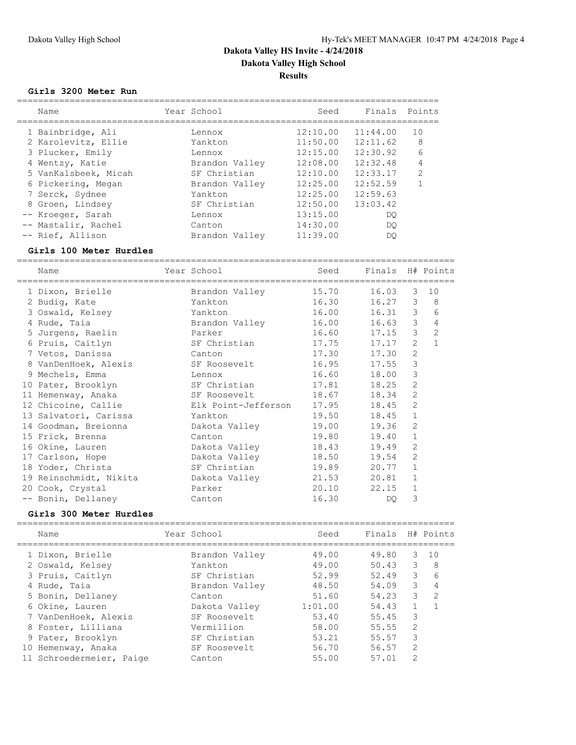#### **Girls 3200 Meter Run**

| Name                 | Year School    | Seed     | Finals   | Points         |
|----------------------|----------------|----------|----------|----------------|
| 1 Bainbridge, Ali    | Lennox         | 12:10.00 | 11:44.00 | 10             |
| 2 Karolevitz, Ellie  | Yankton        | 11:50.00 | 12:11.62 | 8              |
| 3 Plucker, Emily     | Lennox         | 12:15.00 | 12:30.92 | 6              |
| 4 Wentzy, Katie      | Brandon Valley | 12:08.00 | 12:32.48 | 4              |
| 5 VanKalsbeek, Micah | SF Christian   | 12:10.00 | 12:33.17 | $\mathfrak{D}$ |
| 6 Pickering, Megan   | Brandon Valley | 12:25.00 | 12:52.59 |                |
| 7 Serck, Sydnee      | Yankton        | 12:25.00 | 12:59.63 |                |
| 8 Groen, Lindsey     | SF Christian   | 12:50.00 | 13:03.42 |                |
| -- Kroeger, Sarah    | Lennox         | 13:15.00 | DO       |                |
| -- Mastalir, Rachel  | Canton         | 14:30.00 | DO       |                |
| -- Rief, Allison     | Brandon Valley | 11:39.00 | DO       |                |

#### **Girls 100 Meter Hurdles**

=================================================================================== Name Year School Seed Finals H# Points =================================================================================== 1 Dixon, Brielle Brandon Valley 15.70 16.03 3 10 2 Budig, Kate Yankton 16.30 16.27 3 8 3 Oswald, Kelsey Yankton 16.00 16.31 3 6 4 Rude, Taia Brandon Valley 16.00 16.63 3 4 5 Jurgens, Raelin Parker 16.60 17.15 3 2 6 Pruis, Caitlyn SF Christian 17.75 17.17 2 1 7 Vetos, Danissa Canton 17.30 17.30 2 8 VanDenHoek, Alexis SF Roosevelt 16.95 17.55 3 9 Mechels, Emma Lennox 16.60 18.00 3 10 Pater, Brooklyn SF Christian 17.81 18.25 2 11 Hemenway, Anaka SF Roosevelt 18.67 18.34 2 12 Chicoine, Callie Elk Point-Jefferson 17.95 18.45 2 13 Salvatori, Carissa Yankton 19.50 18.45 1 14 Goodman, Breionna Dakota Valley 19.00 19.36 2 15 Frick, Brenna Canton 19.80 19.40 1 16 Okine, Lauren Dakota Valley 18.43 19.49 2 17 Carlson, Hope Dakota Valley 18.50 19.54 2 18 Yoder, Christa SF Christian 19.89 20.77 1 19 Reinschmidt, Nikita Dakota Valley 21.53 20.81 1 20 Cook, Crystal Parker 20.10 22.15 1 -- Bonin, Dellaney Canton 16.30 DQ 3

#### **Girls 300 Meter Hurdles**

| Name                     | Year School    | Seed    | Finals |                | H# Points |
|--------------------------|----------------|---------|--------|----------------|-----------|
| 1 Dixon, Brielle         | Brandon Valley | 49.00   | 49.80  | 3.             | 10        |
| 2 Oswald, Kelsey         | Yankton        | 49.00   | 50.43  | 3              | 8         |
| 3 Pruis, Caitlyn         | SF Christian   | 52.99   | 52.49  | 3              | 6         |
| 4 Rude, Taia             | Brandon Valley | 48.50   | 54.09  | 3              | 4         |
| 5 Bonin, Dellaney        | Canton         | 51.60   | 54.23  | 3              | 2         |
| 6 Okine, Lauren          | Dakota Valley  | 1:01.00 | 54.43  |                |           |
| 7 VanDenHoek, Alexis     | SF Roosevelt   | 53.40   | 55.45  | 3              |           |
| 8 Foster, Lilliana       | Vermillion     | 58.00   | 55.55  | $\mathfrak{D}$ |           |
| 9 Pater, Brooklyn        | SF Christian   | 53.21   | 55.57  | 3              |           |
| 10 Hemenway, Anaka       | SF Roosevelt   | 56.70   | 56.57  | $\mathcal{L}$  |           |
| 11 Schroedermeier, Paige | Canton         | 55.00   | 57.01  | $\mathcal{D}$  |           |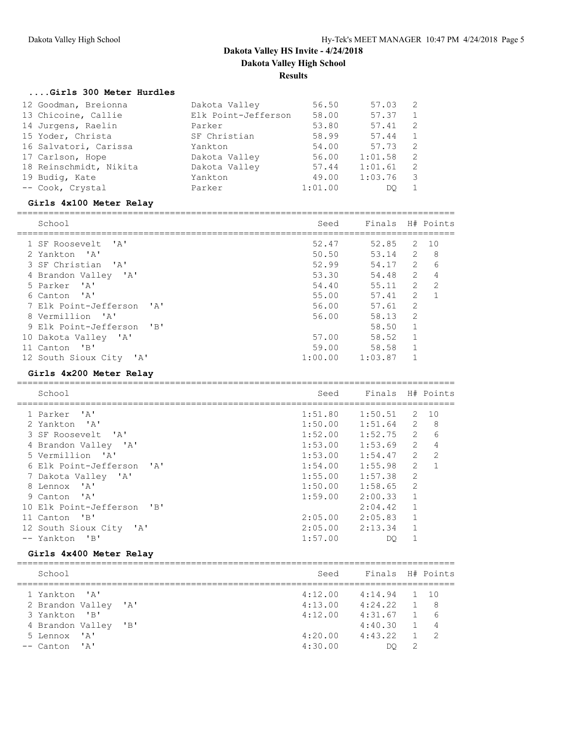#### **....Girls 300 Meter Hurdles**

| 12 Goodman, Breionna   | Dakota Valley       | 56.50   | 57.03   | - 2          |
|------------------------|---------------------|---------|---------|--------------|
| 13 Chicoine, Callie    | Elk Point-Jefferson | 58.00   | 57.37   | 1            |
| 14 Jurgens, Raelin     | Parker              | 53.80   | 57.41   | -2           |
| 15 Yoder, Christa      | SF Christian        | 58.99   | 57.44   | $\mathbf{1}$ |
| 16 Salvatori, Carissa  | Yankton             | 54.00   | 57.73   | - 2          |
| 17 Carlson, Hope       | Dakota Valley       | 56.00   | 1:01.58 | -2           |
| 18 Reinschmidt, Nikita | Dakota Valley       | 57.44   | 1:01.61 | -2           |
| 19 Budig, Kate         | Yankton             | 49.00   | 1:03.76 | - 3          |
| -- Cook, Crystal       | Parker              | 1:01.00 | DO      |              |

#### **Girls 4x100 Meter Relay**

| School                                                                | Seed    | Finals  |                | H# Points     |
|-----------------------------------------------------------------------|---------|---------|----------------|---------------|
| 1 SF Roosevelt 'A'                                                    | 52.47   | 52.85   | 2              | 1 O           |
|                                                                       |         |         |                |               |
| 2 Yankton 'A'                                                         | 50.50   | 53.14   | 2              | 8             |
| 3 SF Christian<br>$\mathsf{I} \wedge \mathsf{I}$                      | 52.99   | 54.17   | $\mathcal{L}$  | 6             |
| 4 Brandon Valley<br>$^{\prime}$ A $^{\prime}$                         | 53.30   | 54.48   | $\mathcal{L}$  |               |
| $\mathsf{I} \wedge \mathsf{I}$<br>5 Parker                            | 54.40   | 55.11   | $\overline{2}$ | $\mathcal{L}$ |
| 6 Canton 'A'                                                          | 55.00   | 57.41   | $\overline{2}$ |               |
| $\mathsf{I} \wedge \mathsf{I}$<br>7 Elk Point-Jefferson               | 56.00   | 57.61   | $\overline{2}$ |               |
| 8 Vermillion 'A'                                                      | 56.00   | 58.13   | $\mathcal{L}$  |               |
| $^{\prime}$ B <sup><math>\prime</math></sup><br>9 Elk Point-Jefferson |         | 58.50   | 1              |               |
| 10 Dakota Valley 'A'                                                  | 57.00   | 58.52   |                |               |
| "B"<br>11 Canton                                                      | 59.00   | 58.58   |                |               |
| 12 South Sioux City<br>$^{\prime}$ A $^{\prime}$                      | 1:00.00 | 1:03.87 |                |               |
|                                                                       |         |         |                |               |

## **Girls 4x200 Meter Relay**

| School                                                                    | Seed    | Finals H# Points |                |               |
|---------------------------------------------------------------------------|---------|------------------|----------------|---------------|
| 1 Parker 'A'                                                              | 1:51.80 | 1:50.51          | 2              | 10            |
| $\mathsf{A}$<br>2 Yankton                                                 | 1:50.00 | 1:51.64          | $\mathcal{L}$  | 8             |
| 3 SF Roosevelt 'A'                                                        | 1:52.00 | 1:52.75          | $\mathcal{L}$  | 6             |
| 4 Brandon Valley<br>$^{\prime}$ A $^{\prime}$                             | 1:53.00 | 1:53.69          | $\overline{2}$ | 4             |
| 5 Vermillion 'A'                                                          | 1:53.00 | 1:54.47          | $\overline{2}$ | $\mathcal{L}$ |
| 6 Elk Point-Jefferson<br>$\mathsf{A}$                                     | 1:54.00 | 1:55.98          | $\mathcal{L}$  | $\mathbf{1}$  |
| 7 Dakota Valley 'A'                                                       | 1:55.00 | 1:57.38          | $\mathfrak{D}$ |               |
| $^{\prime}$ A <sup><math>^{\prime}</math></sup><br>8 Lennox               | 1:50.00 | 1:58.65          | $\mathcal{P}$  |               |
| 9 Canton 'A'                                                              | 1:59.00 | 2:00.33          | $\mathbf{1}$   |               |
| 10 Elk Point-Jefferson<br>$^{\prime}$ B <sup><math>^{\prime}</math></sup> |         | 2:04.42          |                |               |
| $^{\prime}$ B <sup><math>^{\prime}</math></sup><br>11 Canton              | 2:05.00 | 2:05.83          | $\mathbf{1}$   |               |
| 12 South Sioux City 'A'                                                   | 2:05.00 | 2:13.34          |                |               |
| $'$ B $'$<br>-- Yankton                                                   | 1:57.00 | DO               |                |               |
|                                                                           |         |                  |                |               |

#### **Girls 4x400 Meter Relay**

| School                                                                                                                                     | Finals H# Points<br>Seed                                       |          |                                                          |
|--------------------------------------------------------------------------------------------------------------------------------------------|----------------------------------------------------------------|----------|----------------------------------------------------------|
| 4:12.00<br>1 Yankton 'A'<br>4:13.00<br>2 Brandon Valley 'A'<br>4:12.00<br>3 Yankton 'B'<br>4 Brandon Valley 'B'<br>4:20.00<br>5 Lennox 'A' | $4:14.94$ 1 10<br>$4:24.22$ 1<br>4:31.67<br>4:40.30<br>4:43.22 | $\sim$ 1 | $\mathcal{B}$<br>- 6<br>$\overline{4}$<br>$\overline{2}$ |
| 4:30.00<br>$--$ Canton 'A'                                                                                                                 | DO                                                             |          |                                                          |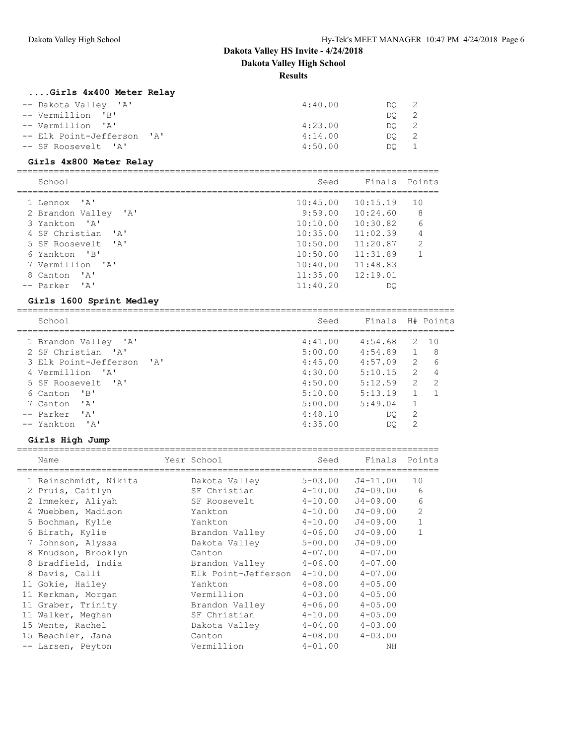## **....Girls 4x400 Meter Relay**

| -- Dakota Valley 'A'       | 4:40.00 | DO 2 |  |
|----------------------------|---------|------|--|
| -- Vermillion 'B'          |         | DO 2 |  |
| -- Vermillion 'A'          | 4:23.00 | DO 2 |  |
| -- Elk Point-Jefferson 'A' | 4:14.00 | DO 2 |  |
| -- SF Roosevelt 'A'        | 4:50.00 | DO - |  |

## **Girls 4x800 Meter Relay**

| School                                           | Seed     | Finals Points        |                |
|--------------------------------------------------|----------|----------------------|----------------|
| 1 Lennox 'A'                                     | 10:45.00 | 10:15.19             | 1 O            |
| 2 Brandon Valley 'A'                             |          | $9:59.00$ $10:24.60$ | 8              |
| $\mathsf{I} \wedge \mathsf{I}$<br>3 Yankton      | 10:10.00 | 10:30.82             | 6              |
| 4 SF Christian<br>$\mathsf{I} \wedge \mathsf{I}$ | 10:35.00 | 11:02.39             | $\overline{4}$ |
| 5 SF Roosevelt. 'A'                              | 10:50.00 | 11:20.87             | 2              |
| 6 Yankton 'B'                                    | 10:50.00 | 11:31.89             |                |
| 7 Vermillion 'A'                                 | 10:40.00 | 11:48.83             |                |
| י בי<br>8 Canton                                 | 11:35.00 | 12:19.01             |                |
| -- Parker<br>י בי                                | 11:40.20 | DC                   |                |

#### **Girls 1600 Sprint Medley**

===================================================================================

| School                                               | Seed    | Finals H# Points |               |                |
|------------------------------------------------------|---------|------------------|---------------|----------------|
|                                                      | 4:41.00 | 4:54.68          | 2             | 10             |
| 1 Brandon Valley 'A'                                 |         |                  |               |                |
| 2 SF Christian 'A'                                   | 5:00.00 | 4:54.89          |               | 8              |
| 3 Elk Point-Jefferson<br>$\mathsf{A}$                | 4:45.00 | 4:57.09          | $\mathcal{L}$ | 6              |
| 4 Vermillion 'A'                                     | 4:30.00 | 5:10.15          | $\mathcal{L}$ | 4              |
| 5 SF Roosevelt 'A'                                   | 4:50.00 | 5:12.59          | $\mathcal{L}$ | $\overline{2}$ |
| "B"<br>6 Canton                                      | 5:10.00 | 5:13.19          |               |                |
| י בי<br>7 Canton                                     | 5:00.00 | 5:49.04          |               |                |
| $\mathsf{r}_{\mathsf{A}}\mathsf{r}$<br>-- Parker     | 4:48.10 | DO               | 2             |                |
| $\mathsf{I}$ $\mathsf{A}$ $\mathsf{I}$<br>-- Yankton | 4:35.00 | DO               | 2             |                |

#### **Girls High Jump**

|   | Name                  | Year School         | Seed        | Finals Points        |                |
|---|-----------------------|---------------------|-------------|----------------------|----------------|
|   | 1 Reinschmidt, Nikita | Dakota Valley       | $5 - 03.00$ | $J4 - 11.00$         | 10             |
|   | 2 Pruis, Caitlyn      | SF Christian        | $4 - 10.00$ | $J4 - 09.00$         | 6              |
|   | 2 Immeker, Aliyah     | SF Roosevelt        |             | $4-10.00$ $J4-09.00$ | 6              |
|   | 4 Wuebben, Madison    | Yankton             | $4 - 10.00$ | $J4 - 09.00$         | $\overline{2}$ |
|   | 5 Bochman, Kylie      | Yankton             | $4 - 10.00$ | $J4 - 09.00$         |                |
|   | 6 Birath, Kylie       | Brandon Valley      | $4 - 06.00$ | $J4 - 09.00$         |                |
| 7 | Johnson, Alyssa       | Dakota Valley       | $5 - 00.00$ | $J4 - 09.00$         |                |
|   | 8 Knudson, Brooklyn   | Canton              | $4 - 07.00$ | $4 - 07.00$          |                |
| 8 | Bradfield, India      | Brandon Valley      | $4 - 06.00$ | $4 - 07.00$          |                |
|   | 8 Davis, Calli        | Elk Point-Jefferson | $4 - 10.00$ | $4 - 07.00$          |                |
|   | 11 Gokie, Hailey      | Yankton             | $4 - 08.00$ | $4 - 05.00$          |                |
|   | 11 Kerkman, Morgan    | Vermillion          | $4 - 03.00$ | $4 - 0.5$ , 00       |                |
|   | 11 Graber, Trinity    | Brandon Valley      | $4 - 06.00$ | $4 - 05.00$          |                |
|   | 11 Walker, Meghan     | SF Christian        | $4 - 10.00$ | $4 - 05.00$          |                |
|   | 15 Wente, Rachel      | Dakota Valley       | $4 - 04.00$ | $4 - 03.00$          |                |
|   | 15 Beachler, Jana     | Canton              | $4 - 08.00$ | $4 - 03.00$          |                |
|   | -- Larsen, Peyton     | Vermillion          | $4 - 01.00$ | NΗ                   |                |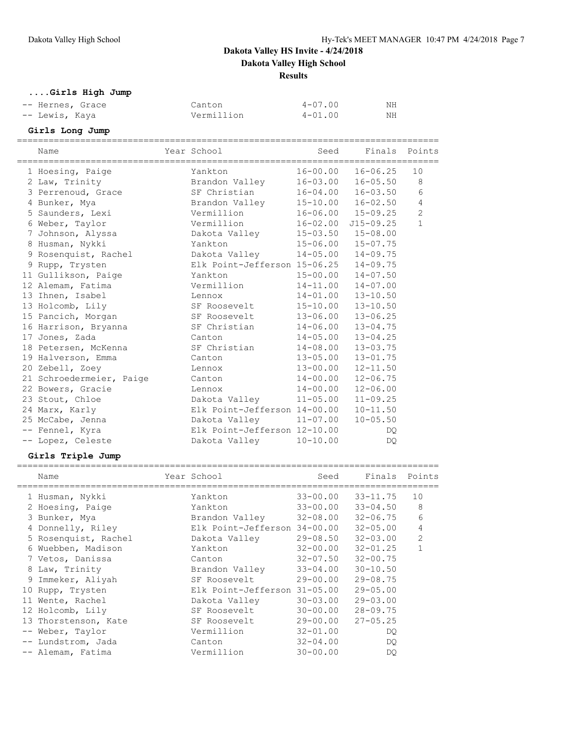**....Girls High Jump**

| -- Hernes, Grace | Canton     | $4 - 07.00$ | NH |
|------------------|------------|-------------|----|
| -- Lewis, Kaya   | Vermillion | $4 - 01.00$ | ΝH |

## **Girls Long Jump**

| Name                                | Year School                           | Seed         |                           | Finals Points  |
|-------------------------------------|---------------------------------------|--------------|---------------------------|----------------|
| 1 Hoesing, Paige                    | Yankton                               |              | $16 - 00.00$ $16 - 06.25$ | 10             |
| 2 Law, Trinity                      | Brandon Valley 16-03.00 16-05.50      |              |                           | 8              |
| 3 Perrenoud, Grace                  | SF Christian                          |              | $16 - 04.00$ $16 - 03.50$ | 6              |
| 4 Bunker, Mya                       | Brandon Valley                        |              | 15-10.00 16-02.50         | $\overline{4}$ |
| 5 Saunders, Lexi                    | Vermillion                            |              | 16-06.00 15-09.25         | $\overline{2}$ |
| 6 Weber, Taylor                     | Vermillion                            |              | 16-02.00 J15-09.25        | $\mathbf{1}$   |
| 7 Johnson, Alyssa                   | Dakota Valley                         |              | $15 - 03.50$ $15 - 08.00$ |                |
| 8 Husman, Nykki                     | Yankton                               |              | 15-06.00 15-07.75         |                |
| 9 Rosenquist, Rachel                | Dakota Valley 14-05.00 14-09.75       |              |                           |                |
| 9 Rupp, Trysten                     | Elk Point-Jefferson 15-06.25 14-09.75 |              |                           |                |
| 11 Gullikson, Paige                 | $15 - 00.00$ $14 - 07.50$<br>Yankton  |              |                           |                |
| 12 Alemam, Fatima                   | Vermillion                            |              | $14-11.00$ $14-07.00$     |                |
| 13 Ihnen, Isabel                    | Lennox                                | $14 - 01.00$ | $13 - 10.50$              |                |
| 13 Holcomb, Lily                    | SF Roosevelt                          | $15 - 10.00$ | $13 - 10.50$              |                |
| 15 Pancich, Morgan                  | SF Roosevelt 13-06.00 13-06.25        |              |                           |                |
| 16 Harrison, Bryanna                | SF Christian                          |              | $14 - 06.00$ $13 - 04.75$ |                |
| 17 Jones, Zada                      | Canton                                | 14-05.00     | $13 - 04.25$              |                |
| 18 Petersen, McKenna                | SF Christian                          | $14 - 08.00$ | $13 - 03.75$              |                |
| 19 Halverson, Emma<br><b>Canton</b> |                                       |              | 13-05.00 13-01.75         |                |
| 20 Zebell, Zoey                     | Lennox                                | 13-00.00     | $12 - 11.50$              |                |
| 21 Schroedermeier, Paige Canton     |                                       | $14 - 00.00$ | $12 - 06.75$              |                |
| 22 Bowers, Gracie                   | Lennox                                | 14-00.00     | $12 - 06.00$              |                |
| 23 Stout, Chloe                     | Dakota Valley 11-05.00 11-09.25       |              |                           |                |
| 24 Marx, Karly                      | Elk Point-Jefferson 14-00.00          |              | $10 - 11.50$              |                |
| 25 McCabe, Jenna                    | Dakota Valley 11-07.00                |              | $10 - 05.50$              |                |
| -- Fennel, Kyra                     | Elk Point-Jefferson 12-10.00          |              | DQ.                       |                |
| -- Lopez, Celeste                   | Dakota Valley 10-10.00                |              | DO                        |                |

## **Girls Triple Jump**

|    | Name                 | Year School                  | Seed         | Finals       | Points         |
|----|----------------------|------------------------------|--------------|--------------|----------------|
|    | 1 Husman, Nykki      | Yankton                      | $33 - 00.00$ | $33 - 11.75$ | 10             |
|    | 2 Hoesing, Paige     | Yankton                      | $33 - 00.00$ | $33 - 04.50$ | 8              |
|    | 3 Bunker, Mya        | Brandon Valley               | 32-08.00     | $32 - 06.75$ | 6              |
|    | 4 Donnelly, Riley    | Elk Point-Jefferson 34-00.00 |              | $32 - 05.00$ | 4              |
|    | 5 Rosenquist, Rachel | Dakota Valley                | $29 - 08.50$ | $32 - 03.00$ | $\overline{2}$ |
|    | 6 Wuebben, Madison   | Yankton                      | $32 - 00.00$ | $32 - 01.25$ |                |
|    | 7 Vetos, Danissa     | Canton                       | $32 - 07.50$ | $32 - 00.75$ |                |
|    | 8 Law, Trinity       | Brandon Valley               | $33 - 04.00$ | $30 - 10.50$ |                |
|    | 9 Immeker, Aliyah    | SF Roosevelt                 | $29 - 00.00$ | $29 - 08.75$ |                |
| 10 | Rupp, Trysten        | Elk Point-Jefferson 31-05.00 |              | $29 - 05.00$ |                |
|    | 11 Wente, Rachel     | Dakota Valley                | $30 - 03.00$ | $29 - 03.00$ |                |
|    | 12 Holcomb, Lily     | SF Roosevelt                 | $30 - 00.00$ | $28 - 09.75$ |                |
|    | 13 Thorstenson, Kate | SF Roosevelt                 | $29 - 00.00$ | $27 - 05.25$ |                |
|    | Weber, Taylor        | Vermillion                   | $32 - 01.00$ | DO.          |                |
|    | Lundstrom, Jada      | Canton                       | $32 - 04.00$ | DO.          |                |
|    | -- Alemam, Fatima    | Vermillion                   | $30 - 00.00$ | DO           |                |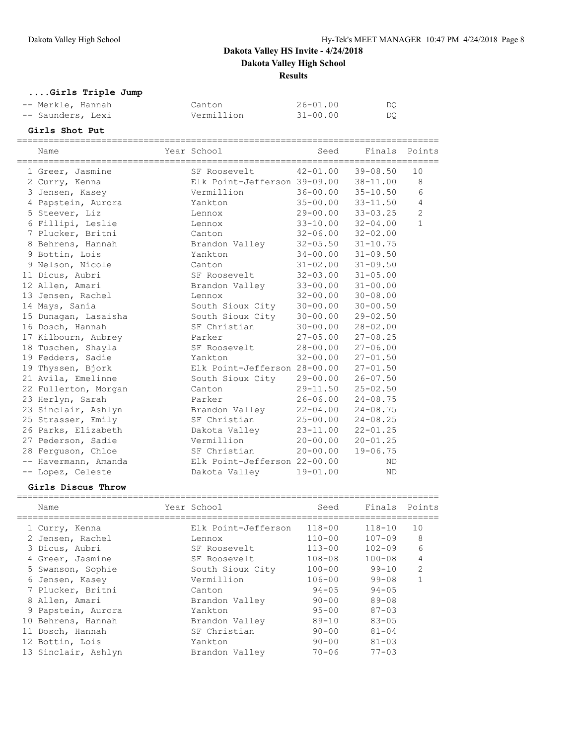**....Girls Triple Jump**

| -- Merkle, Hannah | Canton     | $26 - 01.00$ | DO  |
|-------------------|------------|--------------|-----|
| -- Saunders, Lexi | Vermillion | $31 - 00.00$ | DO. |

## **Girls Shot Put**

| Name                 | Year School                           | Seed                      | Finals Points |                |
|----------------------|---------------------------------------|---------------------------|---------------|----------------|
| 1 Greer, Jasmine     | SF Roosevelt                          | $42 - 01.00$              | 39-08.50      | 10             |
| 2 Curry, Kenna       | Elk Point-Jefferson 39-09.00 38-11.00 |                           |               | 8              |
| 3 Jensen, Kasey      | Vermillion                            | $36 - 00.00$              | $35 - 10.50$  | 6              |
| 4 Papstein, Aurora   | Yankton                               | $35 - 00.00$              | $33 - 11.50$  | $\overline{4}$ |
| 5 Steever, Liz       | Lennox                                | 29-00.00                  | $33 - 03.25$  | $\overline{2}$ |
| 6 Fillipi, Leslie    | Lennox                                | $33 - 10.00$              | $32 - 04.00$  | $\mathbf{1}$   |
| 7 Plucker, Britni    | Canton                                | $32 - 06.00$              | $32 - 02.00$  |                |
| 8 Behrens, Hannah    | Brandon Valley                        | $32 - 05.50$ $31 - 10.75$ |               |                |
| 9 Bottin, Lois       | Yankton                               | $34 - 00.00$ $31 - 09.50$ |               |                |
| 9 Nelson, Nicole     | Canton                                | $31 - 02.00$              | $31 - 09.50$  |                |
| 11 Dicus, Aubri      | SF Roosevelt                          | $32 - 03.00$              | $31 - 05.00$  |                |
| 12 Allen, Amari      | Brandon Valley                        | $33 - 00.00$              | $31 - 00.00$  |                |
| 13 Jensen, Rachel    | Lennox                                | $32 - 00.00$              | $30 - 08.00$  |                |
| 14 Mays, Sania       | South Sioux City                      | $30 - 00.00$              | $30 - 00.50$  |                |
| 15 Dunagan, Lasaisha | South Sioux City                      | $30 - 00.00$              | $29 - 02.50$  |                |
| 16 Dosch, Hannah     | SF Christian                          | $30 - 00.00$              | $28 - 02.00$  |                |
| 17 Kilbourn, Aubrey  | Parker                                | $27 - 05.00$              | $27 - 08.25$  |                |
| 18 Tuschen, Shayla   | SF Roosevelt                          | $28 - 00.00$              | $27 - 06.00$  |                |
| 19 Fedders, Sadie    | Yankton                               | $32 - 00.00$              | $27 - 01.50$  |                |
| 19 Thyssen, Bjork    | Elk Point-Jefferson 28-00.00          |                           | $27 - 01.50$  |                |
| 21 Avila, Emelinne   | South Sioux City 29-00.00             |                           | $26 - 07.50$  |                |
| 22 Fullerton, Morgan | Canton                                | $29 - 11.50$              | $25 - 02.50$  |                |
| 23 Herlyn, Sarah     | Parker                                | $26 - 06.00$              | $24 - 08.75$  |                |
| 23 Sinclair, Ashlyn  | Brandon Valley                        | $22 - 04.00$              | $24 - 08.75$  |                |
| 25 Strasser, Emily   | SF Christian                          | $25 - 00.00$              | $24 - 08.25$  |                |
| 26 Parks, Elizabeth  | Dakota Valley                         | $23 - 11.00$              | $22 - 01.25$  |                |
| 27 Pederson, Sadie   | Vermillion                            | $20 - 00.00$              | $20 - 01.25$  |                |
| 28 Ferguson, Chloe   | SF Christian                          | $20 - 00.00$              | $19 - 06.75$  |                |
| -- Havermann, Amanda | Elk Point-Jefferson 22-00.00          |                           | <b>ND</b>     |                |
| -- Lopez, Celeste    | Dakota Valley                         | $19 - 01.00$              | <b>ND</b>     |                |

#### **Girls Discus Throw**

| Name                | Year School         | Seed       | Finals Points |                |
|---------------------|---------------------|------------|---------------|----------------|
| 1 Curry, Kenna      | Elk Point-Jefferson | $118 - 00$ | $118 - 10$    | 10             |
| 2 Jensen, Rachel    | Lennox              | $110 - 00$ | $107 - 09$    | 8              |
| 3 Dicus, Aubri      | SF Roosevelt        | $113 - 00$ | $102 - 09$    | 6              |
| 4 Greer, Jasmine    | SF Roosevelt        | $108 - 08$ | $100 - 08$    | 4              |
| 5 Swanson, Sophie   | South Sioux City    | $100 - 00$ | $99 - 10$     | $\overline{2}$ |
| 6 Jensen, Kasey     | Vermillion          | $106 - 00$ | 99-08         | 1              |
| 7 Plucker, Britni   | Canton              | $94 - 05$  | $94 - 05$     |                |
| 8 Allen, Amari      | Brandon Valley      | $90 - 00$  | $89 - 08$     |                |
| 9 Papstein, Aurora  | Yankton             | $95 - 00$  | $87 - 0.3$    |                |
| 10 Behrens, Hannah  | Brandon Valley      | $89 - 10$  | $83 - 05$     |                |
| 11 Dosch, Hannah    | SF Christian        | $90 - 00$  | $81 - 04$     |                |
| 12 Bottin, Lois     | Yankton             | $90 - 00$  | $81 - 0.3$    |                |
| 13 Sinclair, Ashlyn | Brandon Valley      | $70 - 06$  | $77 - 0.3$    |                |
|                     |                     |            |               |                |